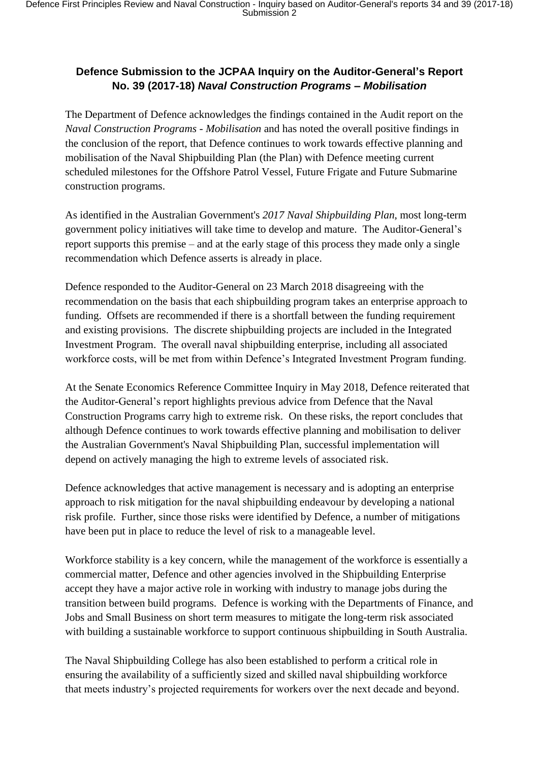## **Defence Submission to the JCPAA Inquiry on the Auditor-General's Report No. 39 (2017-18)** *Naval Construction Programs – Mobilisation*

The Department of Defence acknowledges the findings contained in the Audit report on the *Naval Construction Programs - Mobilisation* and has noted the overall positive findings in the conclusion of the report, that Defence continues to work towards effective planning and mobilisation of the Naval Shipbuilding Plan (the Plan) with Defence meeting current scheduled milestones for the Offshore Patrol Vessel, Future Frigate and Future Submarine construction programs.

As identified in the Australian Government's *2017 Naval Shipbuilding Plan*, most long-term government policy initiatives will take time to develop and mature. The Auditor-General's report supports this premise – and at the early stage of this process they made only a single recommendation which Defence asserts is already in place.

Defence responded to the Auditor-General on 23 March 2018 disagreeing with the recommendation on the basis that each shipbuilding program takes an enterprise approach to funding. Offsets are recommended if there is a shortfall between the funding requirement and existing provisions. The discrete shipbuilding projects are included in the Integrated Investment Program. The overall naval shipbuilding enterprise, including all associated workforce costs, will be met from within Defence's Integrated Investment Program funding.

At the Senate Economics Reference Committee Inquiry in May 2018, Defence reiterated that the Auditor-General's report highlights previous advice from Defence that the Naval Construction Programs carry high to extreme risk. On these risks, the report concludes that although Defence continues to work towards effective planning and mobilisation to deliver the Australian Government's Naval Shipbuilding Plan, successful implementation will depend on actively managing the high to extreme levels of associated risk.

Defence acknowledges that active management is necessary and is adopting an enterprise approach to risk mitigation for the naval shipbuilding endeavour by developing a national risk profile. Further, since those risks were identified by Defence, a number of mitigations have been put in place to reduce the level of risk to a manageable level.

Workforce stability is a key concern, while the management of the workforce is essentially a commercial matter, Defence and other agencies involved in the Shipbuilding Enterprise accept they have a major active role in working with industry to manage jobs during the transition between build programs. Defence is working with the Departments of Finance, and Jobs and Small Business on short term measures to mitigate the long-term risk associated with building a sustainable workforce to support continuous shipbuilding in South Australia.

The Naval Shipbuilding College has also been established to perform a critical role in ensuring the availability of a sufficiently sized and skilled naval shipbuilding workforce that meets industry's projected requirements for workers over the next decade and beyond.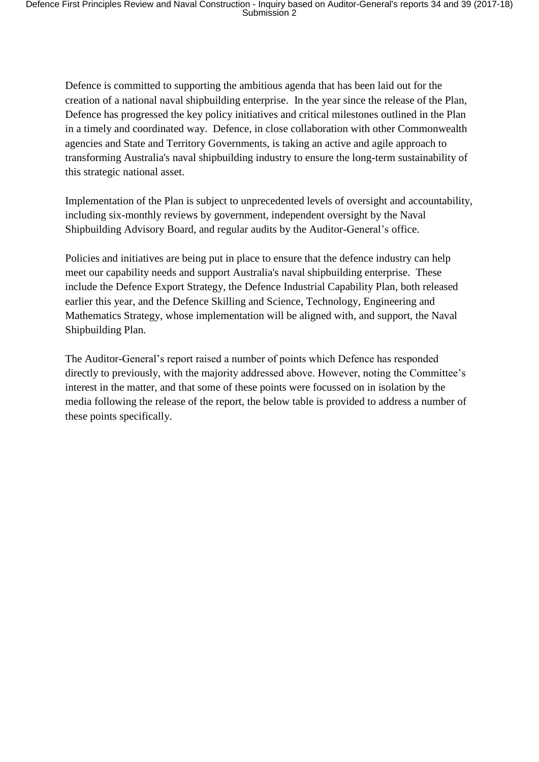Defence is committed to supporting the ambitious agenda that has been laid out for the creation of a national naval shipbuilding enterprise. In the year since the release of the Plan, Defence has progressed the key policy initiatives and critical milestones outlined in the Plan in a timely and coordinated way. Defence, in close collaboration with other Commonwealth agencies and State and Territory Governments, is taking an active and agile approach to transforming Australia's naval shipbuilding industry to ensure the long-term sustainability of this strategic national asset.

Implementation of the Plan is subject to unprecedented levels of oversight and accountability, including six-monthly reviews by government, independent oversight by the Naval Shipbuilding Advisory Board, and regular audits by the Auditor-General's office.

Policies and initiatives are being put in place to ensure that the defence industry can help meet our capability needs and support Australia's naval shipbuilding enterprise. These include the Defence Export Strategy, the Defence Industrial Capability Plan, both released earlier this year, and the Defence Skilling and Science, Technology, Engineering and Mathematics Strategy, whose implementation will be aligned with, and support, the Naval Shipbuilding Plan.

The Auditor-General's report raised a number of points which Defence has responded directly to previously, with the majority addressed above. However, noting the Committee's interest in the matter, and that some of these points were focussed on in isolation by the media following the release of the report, the below table is provided to address a number of these points specifically.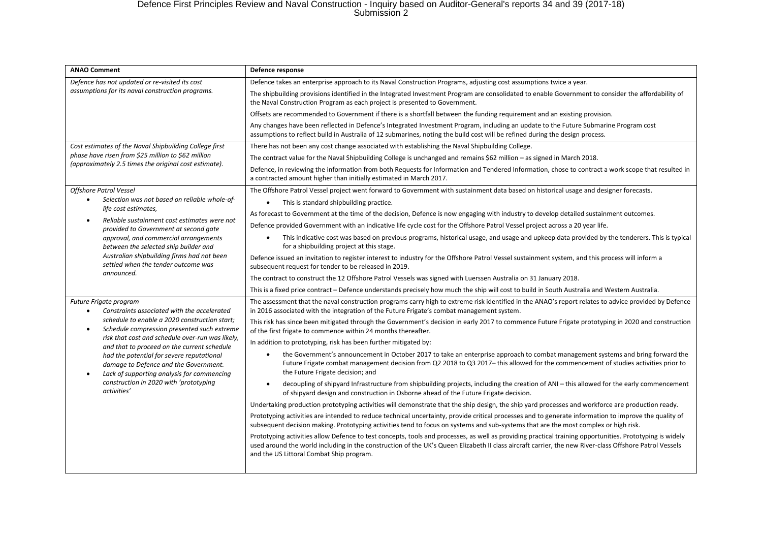## Defence First Principles Review and Naval Construction - Inquiry based on Auditor-General's reports 34 and 39 (2017-18) Submission 2

| <b>ANAO Comment</b>                                                                                                                                                                                                                                                                                                                                                                                                                                                                             | Defence response                                                                                                                                                                                                                                                                                                                                               |
|-------------------------------------------------------------------------------------------------------------------------------------------------------------------------------------------------------------------------------------------------------------------------------------------------------------------------------------------------------------------------------------------------------------------------------------------------------------------------------------------------|----------------------------------------------------------------------------------------------------------------------------------------------------------------------------------------------------------------------------------------------------------------------------------------------------------------------------------------------------------------|
| Defence has not updated or re-visited its cost<br>assumptions for its naval construction programs.                                                                                                                                                                                                                                                                                                                                                                                              | Defence takes an enterprise approach to its Naval Construction Programs, adjusting cost assumptions twice a year.                                                                                                                                                                                                                                              |
|                                                                                                                                                                                                                                                                                                                                                                                                                                                                                                 | The shipbuilding provisions identified in the Integrated Investment Program are consolidated to enable Government to consider the affordability of<br>the Naval Construction Program as each project is presented to Government.                                                                                                                               |
|                                                                                                                                                                                                                                                                                                                                                                                                                                                                                                 | Offsets are recommended to Government if there is a shortfall between the funding requirement and an existing provision.                                                                                                                                                                                                                                       |
|                                                                                                                                                                                                                                                                                                                                                                                                                                                                                                 | Any changes have been reflected in Defence's Integrated Investment Program, including an update to the Future Submarine Program cost<br>assumptions to reflect build in Australia of 12 submarines, noting the build cost will be refined during the design process.                                                                                           |
| Cost estimates of the Naval Shipbuilding College first<br>phase have risen from \$25 million to \$62 million<br>(approximately 2.5 times the original cost estimate).                                                                                                                                                                                                                                                                                                                           | There has not been any cost change associated with establishing the Naval Shipbuilding College.                                                                                                                                                                                                                                                                |
|                                                                                                                                                                                                                                                                                                                                                                                                                                                                                                 | The contract value for the Naval Shipbuilding College is unchanged and remains \$62 million - as signed in March 2018.                                                                                                                                                                                                                                         |
|                                                                                                                                                                                                                                                                                                                                                                                                                                                                                                 | Defence, in reviewing the information from both Requests for Information and Tendered Information, chose to contract a work scope that resulted in<br>a contracted amount higher than initially estimated in March 2017.                                                                                                                                       |
| <b>Offshore Patrol Vessel</b>                                                                                                                                                                                                                                                                                                                                                                                                                                                                   | The Offshore Patrol Vessel project went forward to Government with sustainment data based on historical usage and designer forecasts.                                                                                                                                                                                                                          |
| Selection was not based on reliable whole-of-<br>$\bullet$<br>life cost estimates,<br>Reliable sustainment cost estimates were not<br>$\bullet$<br>provided to Government at second gate<br>approval, and commercial arrangements<br>between the selected ship builder and<br>Australian shipbuilding firms had not been<br>settled when the tender outcome was<br>announced.                                                                                                                   | This is standard shipbuilding practice.<br>$\bullet$                                                                                                                                                                                                                                                                                                           |
|                                                                                                                                                                                                                                                                                                                                                                                                                                                                                                 | As forecast to Government at the time of the decision, Defence is now engaging with industry to develop detailed sustainment outcomes.                                                                                                                                                                                                                         |
|                                                                                                                                                                                                                                                                                                                                                                                                                                                                                                 | Defence provided Government with an indicative life cycle cost for the Offshore Patrol Vessel project across a 20 year life.                                                                                                                                                                                                                                   |
|                                                                                                                                                                                                                                                                                                                                                                                                                                                                                                 | This indicative cost was based on previous programs, historical usage, and usage and upkeep data provided by the tenderers. This is typical<br>$\bullet$<br>for a shipbuilding project at this stage.                                                                                                                                                          |
|                                                                                                                                                                                                                                                                                                                                                                                                                                                                                                 | Defence issued an invitation to register interest to industry for the Offshore Patrol Vessel sustainment system, and this process will inform a<br>subsequent request for tender to be released in 2019.                                                                                                                                                       |
|                                                                                                                                                                                                                                                                                                                                                                                                                                                                                                 | The contract to construct the 12 Offshore Patrol Vessels was signed with Luerssen Australia on 31 January 2018.                                                                                                                                                                                                                                                |
|                                                                                                                                                                                                                                                                                                                                                                                                                                                                                                 | This is a fixed price contract – Defence understands precisely how much the ship will cost to build in South Australia and Western Australia.                                                                                                                                                                                                                  |
| Future Frigate program<br>Constraints associated with the accelerated<br>$\bullet$<br>schedule to enable a 2020 construction start;<br>Schedule compression presented such extreme<br>$\bullet$<br>risk that cost and schedule over-run was likely,<br>and that to proceed on the current schedule<br>had the potential for severe reputational<br>damage to Defence and the Government.<br>Lack of supporting analysis for commencing<br>construction in 2020 with 'prototyping<br>activities' | The assessment that the naval construction programs carry high to extreme risk identified in the ANAO's report relates to advice provided by Defence<br>in 2016 associated with the integration of the Future Frigate's combat management system.                                                                                                              |
|                                                                                                                                                                                                                                                                                                                                                                                                                                                                                                 | This risk has since been mitigated through the Government's decision in early 2017 to commence Future Frigate prototyping in 2020 and construction<br>of the first frigate to commence within 24 months thereafter.                                                                                                                                            |
|                                                                                                                                                                                                                                                                                                                                                                                                                                                                                                 | In addition to prototyping, risk has been further mitigated by:                                                                                                                                                                                                                                                                                                |
|                                                                                                                                                                                                                                                                                                                                                                                                                                                                                                 | the Government's announcement in October 2017 to take an enterprise approach to combat management systems and bring forward the<br>$\bullet$<br>Future Frigate combat management decision from Q2 2018 to Q3 2017-this allowed for the commencement of studies activities prior to<br>the Future Frigate decision; and                                         |
|                                                                                                                                                                                                                                                                                                                                                                                                                                                                                                 | decoupling of shipyard Infrastructure from shipbuilding projects, including the creation of ANI - this allowed for the early commencement<br>$\bullet$<br>of shipyard design and construction in Osborne ahead of the Future Frigate decision.                                                                                                                 |
|                                                                                                                                                                                                                                                                                                                                                                                                                                                                                                 | Undertaking production prototyping activities will demonstrate that the ship design, the ship yard processes and workforce are production ready.                                                                                                                                                                                                               |
|                                                                                                                                                                                                                                                                                                                                                                                                                                                                                                 | Prototyping activities are intended to reduce technical uncertainty, provide critical processes and to generate information to improve the quality of<br>subsequent decision making. Prototyping activities tend to focus on systems and sub-systems that are the most complex or high risk.                                                                   |
|                                                                                                                                                                                                                                                                                                                                                                                                                                                                                                 | Prototyping activities allow Defence to test concepts, tools and processes, as well as providing practical training opportunities. Prototyping is widely<br>used around the world including in the construction of the UK's Queen Elizabeth II class aircraft carrier, the new River-class Offshore Patrol Vessels<br>and the US Littoral Combat Ship program. |